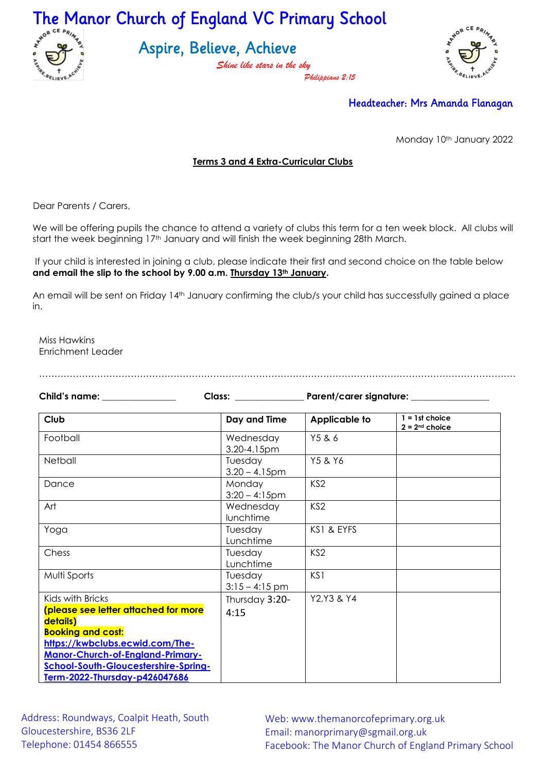

Aspire, Believe, Achieve

*Shine like stars in the sky Philippians 2:15*



## Headteacher: Mrs Amanda Flanagan

Monday 10th January 2022

## **Terms 3 and 4 Extra-Curricular Clubs**

Dear Parents / Carers,

We will be offering pupils the chance to attend a variety of clubs this term for a ten week block. All clubs will start the week beginning 17<sup>th</sup> January and will finish the week beginning 28th March.

If your child is interested in joining a club, please indicate their first and second choice on the table below **and email the slip to the school by 9.00 a.m. Thursday 13th January.** 

An email will be sent on Friday 14<sup>th</sup> January confirming the club/s your child has successfully gained a place in.

Miss Hawkins Enrichment Leader

…………………………………………………………………………………………………………………………………………

| Child's name: _______________                                                                                                                                                                                                                    | Class: Electric Class of the Class of the Class of the Class of the Class of the Class of the Class of the Cla | Parent/carer signature: _________ |                                      |
|--------------------------------------------------------------------------------------------------------------------------------------------------------------------------------------------------------------------------------------------------|----------------------------------------------------------------------------------------------------------------|-----------------------------------|--------------------------------------|
| Club                                                                                                                                                                                                                                             | Day and Time                                                                                                   | <b>Applicable to</b>              | $1 = 1st$ choice<br>$2 = 2nd$ choice |
| Football                                                                                                                                                                                                                                         | Wednesday<br>3.20-4.15pm                                                                                       | Y5 & 6                            |                                      |
| Netball                                                                                                                                                                                                                                          | Tuesday<br>$3.20 - 4.15$ pm                                                                                    | Y5 & Y6                           |                                      |
| Dance                                                                                                                                                                                                                                            | Monday<br>$3:20 - 4:15$ pm                                                                                     | KS <sub>2</sub>                   |                                      |
| Art                                                                                                                                                                                                                                              | Wednesday<br>lunchtime                                                                                         | KS <sub>2</sub>                   |                                      |
| Yoga                                                                                                                                                                                                                                             | Tuesday<br>Lunchtime                                                                                           | KS1 & EYFS                        |                                      |
| Chess                                                                                                                                                                                                                                            | Tuesday<br>Lunchtime                                                                                           | KS <sub>2</sub>                   |                                      |
| Multi Sports                                                                                                                                                                                                                                     | Tuesday<br>$3:15 - 4:15$ pm                                                                                    | KS1                               |                                      |
| Kids with Bricks<br>(please see letter attached for more<br>details)<br><b>Booking and cost:</b><br>https://kwbclubs.ecwid.com/The-<br>Manor-Church-of-England-Primary-<br>School-South-Gloucestershire-Spring-<br>Term-2022-Thursday-p426047686 | Thursday 3:20-<br>4:15                                                                                         | Y2, Y3 & Y4                       |                                      |

Address: Roundways, Coalpit Heath, South Gloucestershire, BS36 2LF Telephone: 01454 866555

Web: www.themanorcofeprimary.org.uk Email: manorprimary@sgmail.org.uk Facebook: The Manor Church of England Primary School